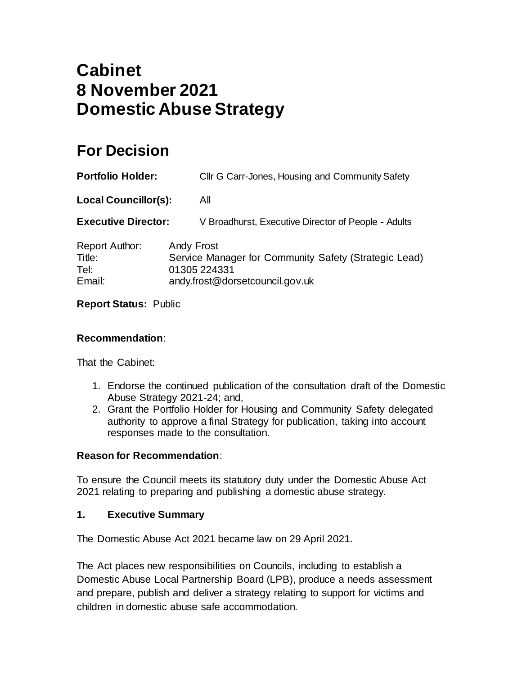# **Cabinet 8 November 2021 Domestic Abuse Strategy**

## **For Decision**

| <b>Portfolio Holder:</b>                          |                   | Cllr G Carr-Jones, Housing and Community Safety                                                          |
|---------------------------------------------------|-------------------|----------------------------------------------------------------------------------------------------------|
| <b>Local Councillor(s):</b>                       |                   | All                                                                                                      |
| <b>Executive Director:</b>                        |                   | V Broadhurst, Executive Director of People - Adults                                                      |
| <b>Report Author:</b><br>Title:<br>Tel:<br>Email: | <b>Andy Frost</b> | Service Manager for Community Safety (Strategic Lead)<br>01305 224331<br>andy.frost@dorsetcouncil.gov.uk |

## **Report Status:** Public

#### **Recommendation**:

That the Cabinet:

- 1. Endorse the continued publication of the consultation draft of the Domestic Abuse Strategy 2021-24; and,
- 2. Grant the Portfolio Holder for Housing and Community Safety delegated authority to approve a final Strategy for publication, taking into account responses made to the consultation.

## **Reason for Recommendation**:

To ensure the Council meets its statutory duty under the Domestic Abuse Act 2021 relating to preparing and publishing a domestic abuse strategy.

#### **1. Executive Summary**

The Domestic Abuse Act 2021 became law on 29 April 2021.

The Act places new responsibilities on Councils, including to establish a Domestic Abuse Local Partnership Board (LPB), produce a needs assessment and prepare, publish and deliver a strategy relating to support for victims and children in domestic abuse safe accommodation.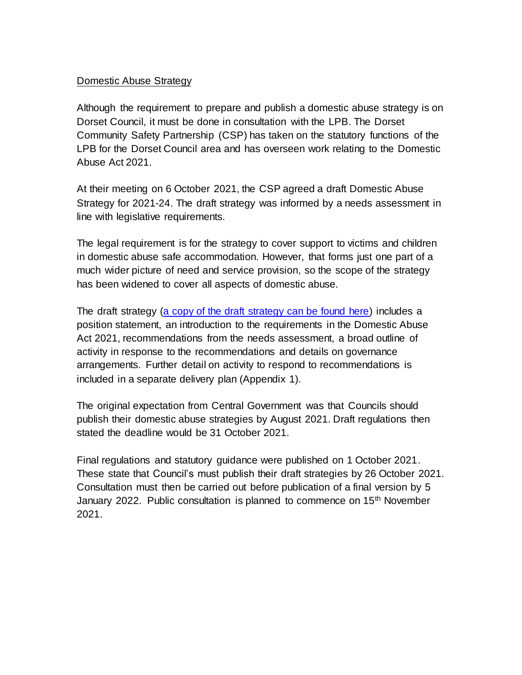### Domestic Abuse Strategy

Although the requirement to prepare and publish a domestic abuse strategy is on Dorset Council, it must be done in consultation with the LPB. The Dorset Community Safety Partnership (CSP) has taken on the statutory functions of the LPB for the Dorset Council area and has overseen work relating to the Domestic Abuse Act 2021.

At their meeting on 6 October 2021, the CSP agreed a draft Domestic Abuse Strategy for 2021-24. The draft strategy was informed by a needs assessment in line with legislative requirements.

The legal requirement is for the strategy to cover support to victims and children in domestic abuse safe accommodation. However, that forms just one part of a much wider picture of need and service provision, so the scope of the strategy has been widened to cover all aspects of domestic abuse.

The draft strategy [\(a copy of the draft strategy can be found here\)](https://www.dorsetcouncil.gov.uk/documents/35024/289155/Dorset+Domestic+Abuse+Local+Partnership+Board+Strategy+Revised+Final+-+DRAFT.pdf/a88290f7-88a2-957d-f34b-a4e0e5f4b410) includes a position statement, an introduction to the requirements in the Domestic Abuse Act 2021, recommendations from the needs assessment, a broad outline of activity in response to the recommendations and details on governance arrangements. Further detail on activity to respond to recommendations is included in a separate delivery plan (Appendix 1).

The original expectation from Central Government was that Councils should publish their domestic abuse strategies by August 2021. Draft regulations then stated the deadline would be 31 October 2021.

Final regulations and statutory guidance were published on 1 October 2021. These state that Council's must publish their draft strategies by 26 October 2021. Consultation must then be carried out before publication of a final version by 5 January 2022. Public consultation is planned to commence on 15<sup>th</sup> November 2021.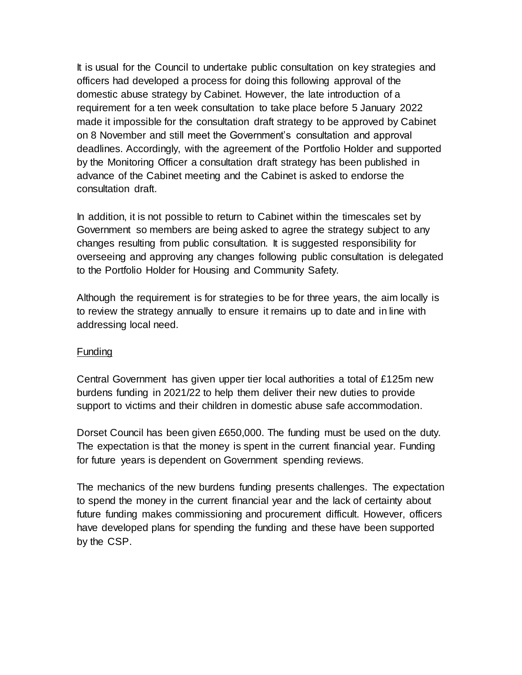It is usual for the Council to undertake public consultation on key strategies and officers had developed a process for doing this following approval of the domestic abuse strategy by Cabinet. However, the late introduction of a requirement for a ten week consultation to take place before 5 January 2022 made it impossible for the consultation draft strategy to be approved by Cabinet on 8 November and still meet the Government's consultation and approval deadlines. Accordingly, with the agreement of the Portfolio Holder and supported by the Monitoring Officer a consultation draft strategy has been published in advance of the Cabinet meeting and the Cabinet is asked to endorse the consultation draft.

In addition, it is not possible to return to Cabinet within the timescales set by Government so members are being asked to agree the strategy subject to any changes resulting from public consultation. It is suggested responsibility for overseeing and approving any changes following public consultation is delegated to the Portfolio Holder for Housing and Community Safety.

Although the requirement is for strategies to be for three years, the aim locally is to review the strategy annually to ensure it remains up to date and in line with addressing local need.

#### Funding

Central Government has given upper tier local authorities a total of £125m new burdens funding in 2021/22 to help them deliver their new duties to provide support to victims and their children in domestic abuse safe accommodation.

Dorset Council has been given £650,000. The funding must be used on the duty. The expectation is that the money is spent in the current financial year. Funding for future years is dependent on Government spending reviews.

The mechanics of the new burdens funding presents challenges. The expectation to spend the money in the current financial year and the lack of certainty about future funding makes commissioning and procurement difficult. However, officers have developed plans for spending the funding and these have been supported by the CSP.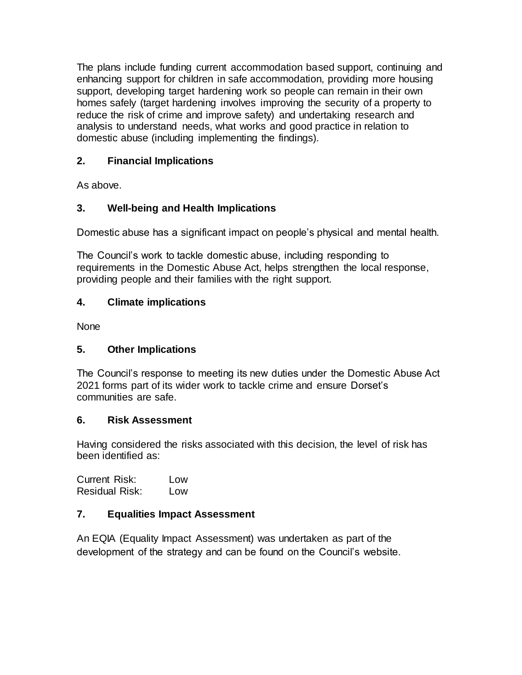The plans include funding current accommodation based support, continuing and enhancing support for children in safe accommodation, providing more housing support, developing target hardening work so people can remain in their own homes safely (target hardening involves improving the security of a property to reduce the risk of crime and improve safety) and undertaking research and analysis to understand needs, what works and good practice in relation to domestic abuse (including implementing the findings).

## **2. Financial Implications**

As above.

## **3. Well-being and Health Implications**

Domestic abuse has a significant impact on people's physical and mental health.

The Council's work to tackle domestic abuse, including responding to requirements in the Domestic Abuse Act, helps strengthen the local response, providing people and their families with the right support.

## **4. Climate implications**

**None** 

## **5. Other Implications**

The Council's response to meeting its new duties under the Domestic Abuse Act 2021 forms part of its wider work to tackle crime and ensure Dorset's communities are safe.

## **6. Risk Assessment**

Having considered the risks associated with this decision, the level of risk has been identified as:

| <b>Current Risk:</b>  | Low |
|-----------------------|-----|
| <b>Residual Risk:</b> | Low |

## **7. Equalities Impact Assessment**

An EQIA (Equality Impact Assessment) was undertaken as part of the development of the strategy and can be found on the Council's website.